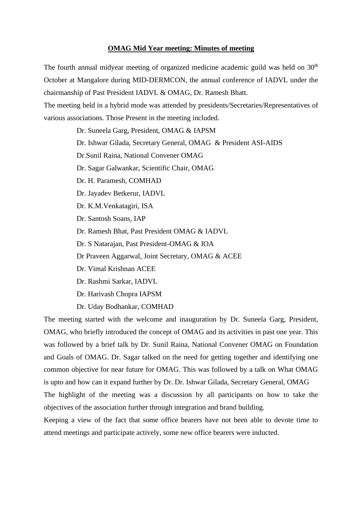## **OMAG Mid Year meeting: Minutes of meeting**

The fourth annual midyear meeting of organized medicine academic guild was held on  $30<sup>th</sup>$ October at Mangalore during MID-DERMCON, the annual conference of IADVL under the chairmanship of Past President IADVL & OMAG, Dr. Ramesh Bhatt.

The meeting held in a hybrid mode was attended by presidents/Secretaries/Representatives of various associations. Those Present in the meeting included.

> Dr. Suneela Garg, President, OMAG & IAPSM Dr. Ishwar Gilada, Secretary General, OMAG & President ASI-AIDS Dr.Sunil Raina, National Convener OMAG Dr. Sagar Galwankar, Scientific Chair, OMAG Dr. H. Paramesh, COMHAD Dr. Jayadev Betkerur, IADVL Dr. K.M.Venkatagiri, ISA Dr. Santosh Soans, IAP Dr. Ramesh Bhat, Past President OMAG & IADVL Dr. S Natarajan, Past President-OMAG & IOA Dr Praveen Aggarwal, Joint Secretary, OMAG & ACEE Dr. Vimal Krishnan ACEE Dr. Rashmi Sarkar, IADVL Dr. Harivash Chopra IAPSM Dr. Uday Bodhankar, COMHAD

The meeting started with the welcome and inauguration by Dr. Suneela Garg, President, OMAG, who briefly introduced the concept of OMAG and its activities in past one year. This was followed by a brief talk by Dr. Sunil Raina, National Convener OMAG on Foundation and Goals of OMAG. Dr. Sagar talked on the need for getting together and identifying one common objective for near future for OMAG. This was followed by a talk on What OMAG is upto and how can it expand further by Dr. Dr. Ishwar Gilada, Secretary General, OMAG The highlight of the meeting was a discussion by all participants on how to take the objectives of the association further through integration and brand building.

Keeping a view of the fact that some office bearers have not been able to devote time to attend meetings and participate actively, some new office bearers were inducted.